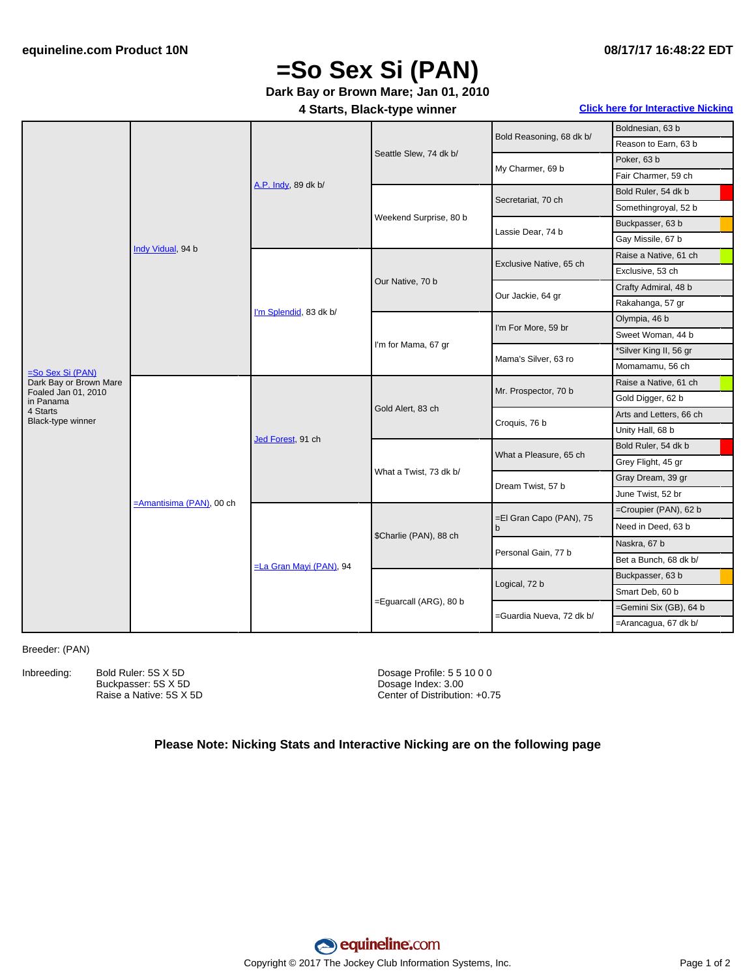## **08/17/17 16:48:22 EDT**

# **=So Sex Si (PAN)**

# **Dark Bay or Brown Mare; Jan 01, 2010**

## **4 Starts, Black-type winner Click here for [Interactive](#page-1-0) Nicking**

|                                               | Indy Vidual, 94 b        | A.P. Indy, 89 dk b/             | Seattle Slew, 74 dk b/ | Bold Reasoning, 68 dk b/     | Boldnesian, 63 b        |
|-----------------------------------------------|--------------------------|---------------------------------|------------------------|------------------------------|-------------------------|
|                                               |                          |                                 |                        |                              | Reason to Earn, 63 b    |
|                                               |                          |                                 |                        | My Charmer, 69 b             | Poker, 63 b             |
|                                               |                          |                                 |                        |                              | Fair Charmer, 59 ch     |
|                                               |                          |                                 | Weekend Surprise, 80 b | Secretariat, 70 ch           | Bold Ruler, 54 dk b     |
|                                               |                          |                                 |                        |                              | Somethingroyal, 52 b    |
|                                               |                          |                                 |                        | Lassie Dear, 74 b            | Buckpasser, 63 b        |
|                                               |                          |                                 |                        |                              | Gay Missile, 67 b       |
|                                               |                          | I'm Splendid, 83 dk b/          | Our Native, 70 b       | Exclusive Native, 65 ch      | Raise a Native, 61 ch   |
|                                               |                          |                                 |                        |                              | Exclusive, 53 ch        |
|                                               |                          |                                 |                        | Our Jackie, 64 gr            | Crafty Admiral, 48 b    |
|                                               |                          |                                 |                        |                              | Rakahanga, 57 gr        |
|                                               |                          |                                 | I'm for Mama, 67 gr    | I'm For More, 59 br          | Olympia, 46 b           |
|                                               |                          |                                 |                        |                              | Sweet Woman, 44 b       |
|                                               |                          |                                 |                        | Mama's Silver, 63 ro         | *Silver King II, 56 gr  |
| $=$ So Sex Si (PAN)                           |                          |                                 |                        |                              | Momamamu, 56 ch         |
| Dark Bay or Brown Mare<br>Foaled Jan 01, 2010 | =Amantisima (PAN), 00 ch | Jed Forest, 91 ch               | Gold Alert, 83 ch      | Mr. Prospector, 70 b         | Raise a Native, 61 ch   |
| in Panama                                     |                          |                                 |                        |                              | Gold Digger, 62 b       |
| 4 Starts<br>Black-type winner                 |                          |                                 |                        | Croquis, 76 b                | Arts and Letters, 66 ch |
|                                               |                          |                                 |                        |                              | Unity Hall, 68 b        |
|                                               |                          |                                 | What a Twist, 73 dk b/ | What a Pleasure, 65 ch       | Bold Ruler, 54 dk b     |
|                                               |                          |                                 |                        |                              | Grey Flight, 45 gr      |
|                                               |                          |                                 |                        | Dream Twist, 57 b            | Gray Dream, 39 gr       |
|                                               |                          |                                 |                        |                              | June Twist, 52 br       |
|                                               |                          | <b>ELa Gran Mayi (PAN)</b> , 94 | \$Charlie (PAN), 88 ch | =El Gran Capo (PAN), 75<br>b | =Croupier (PAN), 62 b   |
|                                               |                          |                                 |                        |                              | Need in Deed, 63 b      |
|                                               |                          |                                 |                        | Personal Gain, 77 b          | Naskra, 67 b            |
|                                               |                          |                                 |                        |                              | Bet a Bunch, 68 dk b/   |
|                                               |                          |                                 | =Eguarcall (ARG), 80 b | Logical, 72 b                | Buckpasser, 63 b        |
|                                               |                          |                                 |                        |                              | Smart Deb, 60 b         |
|                                               |                          |                                 |                        | =Guardia Nueva, 72 dk b/     | =Gemini Six (GB), 64 b  |
|                                               |                          |                                 |                        |                              | =Arancagua, 67 dk b/    |

#### Breeder: (PAN)

Inbreeding: Bold Ruler: 5S X 5D Buckpasser: 5S X 5D Raise a Native: 5S X 5D Dosage Profile: 5 5 10 0 0 Dosage Index: 3.00 Center of Distribution: +0.75

## **Please Note: Nicking Stats and Interactive Nicking are on the following page**